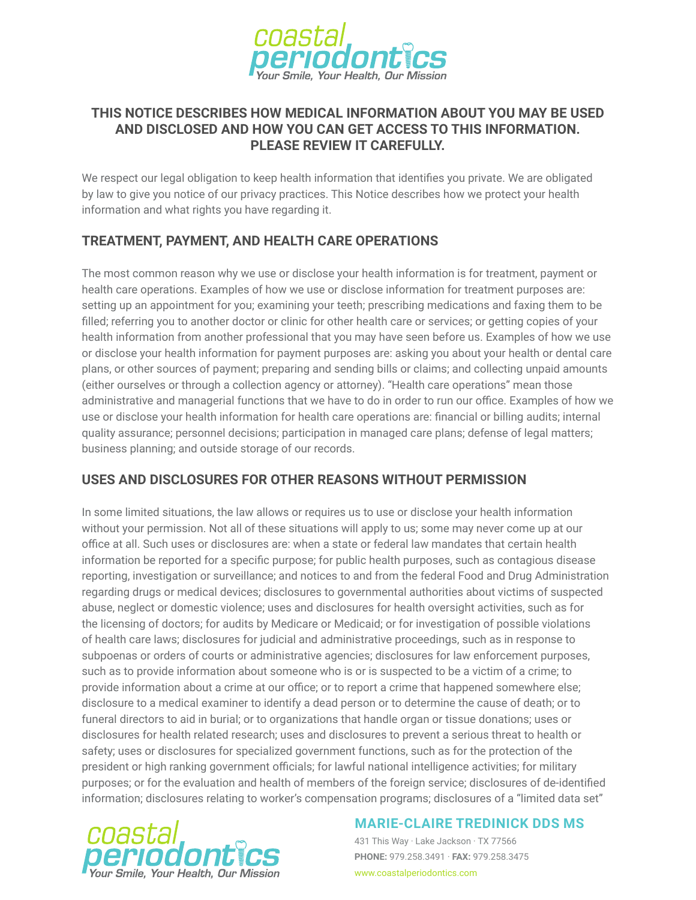

#### **THIS NOTICE DESCRIBES HOW MEDICAL INFORMATION ABOUT YOU MAY BE USED AND DISCLOSED AND HOW YOU CAN GET ACCESS TO THIS INFORMATION. PLEASE REVIEW IT CAREFULLY.**

We respect our legal obligation to keep health information that identifies you private. We are obligated by law to give you notice of our privacy practices. This Notice describes how we protect your health information and what rights you have regarding it.

## **TREATMENT, PAYMENT, AND HEALTH CARE OPERATIONS**

The most common reason why we use or disclose your health information is for treatment, payment or health care operations. Examples of how we use or disclose information for treatment purposes are: setting up an appointment for you; examining your teeth; prescribing medications and faxing them to be filled; referring you to another doctor or clinic for other health care or services; or getting copies of your health information from another professional that you may have seen before us. Examples of how we use or disclose your health information for payment purposes are: asking you about your health or dental care plans, or other sources of payment; preparing and sending bills or claims; and collecting unpaid amounts (either ourselves or through a collection agency or attorney). "Health care operations" mean those administrative and managerial functions that we have to do in order to run our office. Examples of how we use or disclose your health information for health care operations are: financial or billing audits; internal quality assurance; personnel decisions; participation in managed care plans; defense of legal matters; business planning; and outside storage of our records.

# **USES AND DISCLOSURES FOR OTHER REASONS WITHOUT PERMISSION**

In some limited situations, the law allows or requires us to use or disclose your health information without your permission. Not all of these situations will apply to us; some may never come up at our office at all. Such uses or disclosures are: when a state or federal law mandates that certain health information be reported for a specific purpose; for public health purposes, such as contagious disease reporting, investigation or surveillance; and notices to and from the federal Food and Drug Administration regarding drugs or medical devices; disclosures to governmental authorities about victims of suspected abuse, neglect or domestic violence; uses and disclosures for health oversight activities, such as for the licensing of doctors; for audits by Medicare or Medicaid; or for investigation of possible violations of health care laws; disclosures for judicial and administrative proceedings, such as in response to subpoenas or orders of courts or administrative agencies; disclosures for law enforcement purposes, such as to provide information about someone who is or is suspected to be a victim of a crime; to provide information about a crime at our office; or to report a crime that happened somewhere else; disclosure to a medical examiner to identify a dead person or to determine the cause of death; or to funeral directors to aid in burial; or to organizations that handle organ or tissue donations; uses or disclosures for health related research; uses and disclosures to prevent a serious threat to health or safety; uses or disclosures for specialized government functions, such as for the protection of the president or high ranking government officials; for lawful national intelligence activities; for military purposes; or for the evaluation and health of members of the foreign service; disclosures of de-identified information; disclosures relating to worker's compensation programs; disclosures of a "limited data set"



### **MARIE-CLAIRE TREDINICK DDS MS**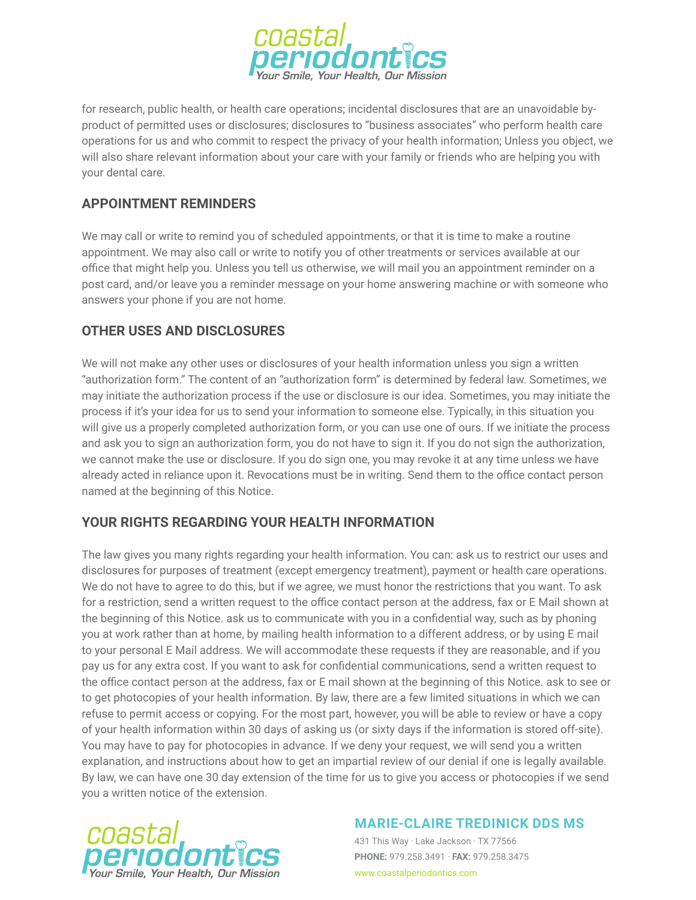

for research, public health, or health care operations; incidental disclosures that are an unavoidable byproduct of permitted uses or disclosures; disclosures to "business associates" who perform health care operations for us and who commit to respect the privacy of your health information; Unless you object, we will also share relevant information about your care with your family or friends who are helping you with your dental care.

### **APPOINTMENT REMINDERS**

We may call or write to remind you of scheduled appointments, or that it is time to make a routine appointment. We may also call or write to notify you of other treatments or services available at our office that might help you. Unless you tell us otherwise, we will mail you an appointment reminder on a post card, and/or leave you a reminder message on your home answering machine or with someone who answers your phone if you are not home.

### **OTHER USES AND DISCLOSURES**

We will not make any other uses or disclosures of your health information unless you sign a written "authorization form." The content of an "authorization form" is determined by federal law. Sometimes, we may initiate the authorization process if the use or disclosure is our idea. Sometimes, you may initiate the process if it's your idea for us to send your information to someone else. Typically, in this situation you will give us a properly completed authorization form, or you can use one of ours. If we initiate the process and ask you to sign an authorization form, you do not have to sign it. If you do not sign the authorization, we cannot make the use or disclosure. If you do sign one, you may revoke it at any time unless we have already acted in reliance upon it. Revocations must be in writing. Send them to the office contact person named at the beginning of this Notice.

### **YOUR RIGHTS REGARDING YOUR HEALTH INFORMATION**

The law gives you many rights regarding your health information. You can: ask us to restrict our uses and disclosures for purposes of treatment (except emergency treatment), payment or health care operations. We do not have to agree to do this, but if we agree, we must honor the restrictions that you want. To ask for a restriction, send a written request to the office contact person at the address, fax or E Mail shown at the beginning of this Notice. ask us to communicate with you in a confidential way, such as by phoning you at work rather than at home, by mailing health information to a different address, or by using E mail to your personal E Mail address. We will accommodate these requests if they are reasonable, and if you pay us for any extra cost. If you want to ask for confidential communications, send a written request to the office contact person at the address, fax or E mail shown at the beginning of this Notice. ask to see or to get photocopies of your health information. By law, there are a few limited situations in which we can refuse to permit access or copying. For the most part, however, you will be able to review or have a copy of your health information within 30 days of asking us (or sixty days if the information is stored off-site). You may have to pay for photocopies in advance. If we deny your request, we will send you a written explanation, and instructions about how to get an impartial review of our denial if one is legally available. By law, we can have one 30 day extension of the time for us to give you access or photocopies if we send you a written notice of the extension.



#### **MARIE-CLAIRE TREDINICK DDS MS**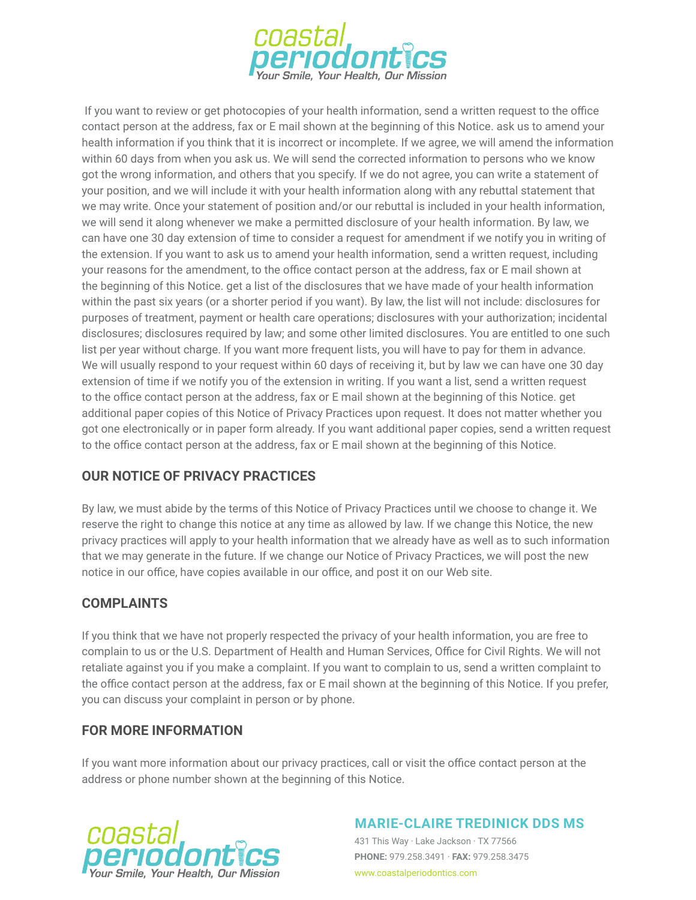

 If you want to review or get photocopies of your health information, send a written request to the office contact person at the address, fax or E mail shown at the beginning of this Notice. ask us to amend your health information if you think that it is incorrect or incomplete. If we agree, we will amend the information within 60 days from when you ask us. We will send the corrected information to persons who we know got the wrong information, and others that you specify. If we do not agree, you can write a statement of your position, and we will include it with your health information along with any rebuttal statement that we may write. Once your statement of position and/or our rebuttal is included in your health information, we will send it along whenever we make a permitted disclosure of your health information. By law, we can have one 30 day extension of time to consider a request for amendment if we notify you in writing of the extension. If you want to ask us to amend your health information, send a written request, including your reasons for the amendment, to the office contact person at the address, fax or E mail shown at the beginning of this Notice. get a list of the disclosures that we have made of your health information within the past six years (or a shorter period if you want). By law, the list will not include: disclosures for purposes of treatment, payment or health care operations; disclosures with your authorization; incidental disclosures; disclosures required by law; and some other limited disclosures. You are entitled to one such list per year without charge. If you want more frequent lists, you will have to pay for them in advance. We will usually respond to your request within 60 days of receiving it, but by law we can have one 30 day extension of time if we notify you of the extension in writing. If you want a list, send a written request to the office contact person at the address, fax or E mail shown at the beginning of this Notice. get additional paper copies of this Notice of Privacy Practices upon request. It does not matter whether you got one electronically or in paper form already. If you want additional paper copies, send a written request to the office contact person at the address, fax or E mail shown at the beginning of this Notice.

### **OUR NOTICE OF PRIVACY PRACTICES**

By law, we must abide by the terms of this Notice of Privacy Practices until we choose to change it. We reserve the right to change this notice at any time as allowed by law. If we change this Notice, the new privacy practices will apply to your health information that we already have as well as to such information that we may generate in the future. If we change our Notice of Privacy Practices, we will post the new notice in our office, have copies available in our office, and post it on our Web site.

### **COMPLAINTS**

If you think that we have not properly respected the privacy of your health information, you are free to complain to us or the U.S. Department of Health and Human Services, Office for Civil Rights. We will not retaliate against you if you make a complaint. If you want to complain to us, send a written complaint to the office contact person at the address, fax or E mail shown at the beginning of this Notice. If you prefer, you can discuss your complaint in person or by phone.

### **FOR MORE INFORMATION**

If you want more information about our privacy practices, call or visit the office contact person at the address or phone number shown at the beginning of this Notice.



### **MARIE-CLAIRE TREDINICK DDS MS**